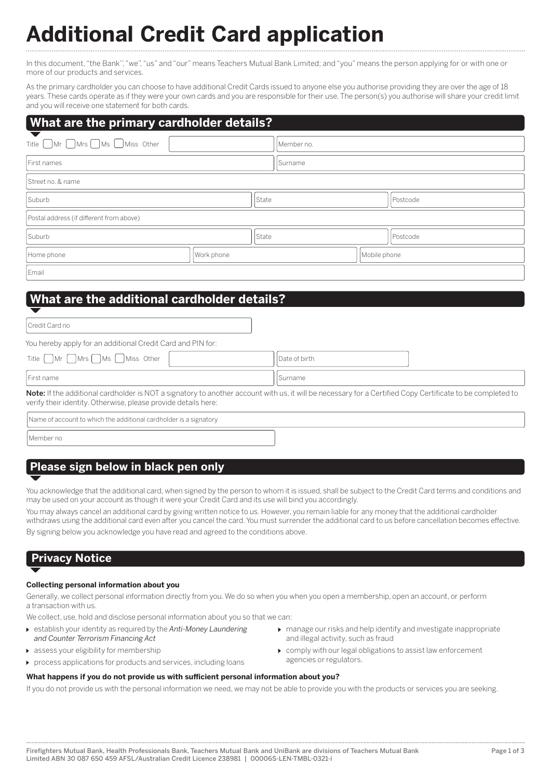# **Additional Credit Card application**

In this document, "the Bank'', "we", "us" and "our" means Teachers Mutual Bank Limited; and "you" means the person applying for or with one or more of our products and services.

As the primary cardholder you can choose to have additional Credit Cards issued to anyone else you authorise providing they are over the age of 18 years. These cards operate as if they were your own cards and you are responsible for their use. The person(s) you authorise will share your credit limit and you will receive one statement for both cards.

## **What are the primary cardholder details?**

| Title $\bigcap$ Mr $\bigcap$ Mrs $\bigcap$ Ms $\bigcap$ Miss Other |            | Member no. |              |  |  |  |
|--------------------------------------------------------------------|------------|------------|--------------|--|--|--|
| First names                                                        |            | Surname    |              |  |  |  |
| Street no. & name                                                  |            |            |              |  |  |  |
| Suburb<br>State                                                    |            |            | Postcode     |  |  |  |
| Postal address (if different from above)                           |            |            |              |  |  |  |
| Suburb                                                             |            |            | Postcode     |  |  |  |
| Home phone                                                         | Work phone |            | Mobile phone |  |  |  |
| Email                                                              |            |            |              |  |  |  |

# **What are the additional cardholder details?**

| Credit Card no                                                     |               |
|--------------------------------------------------------------------|---------------|
| You hereby apply for an additional Credit Card and PIN for:        |               |
| Title $\bigcap$ Mr $\bigcap$ Mrs $\bigcap$ Ms $\bigcup$ Miss Other | Date of birth |
| I First name                                                       | Surname       |

Note: If the additional cardholder is NOT a signatory to another account with us, it will be necessary for a Certified Copy Certificate to be completed to verify their identity. Otherwise, please provide details here:

Name of account to which the additional cardholder is a signatory

Member no

# **Please sign below in black pen only**

You acknowledge that the additional card, when signed by the person to whom it is issued, shall be subject to the Credit Card terms and conditions and may be used on your account as though it were your Credit Card and its use will bind you accordingly.

You may always cancel an additional card by giving written notice to us. However, you remain liable for any money that the additional cardholder withdraws using the additional card even after you cancel the card. You must surrender the additional card to us before cancellation becomes effective. By signing below you acknowledge you have read and agreed to the conditions above.

# **Privacy Notice**

## **Collecting personal information about you**

Generally, we collect personal information directly from you. We do so when you when you open a membership, open an account, or perform a transaction with us.

We collect, use, hold and disclose personal information about you so that we can:

- establish your identity as required by the *Anti-Money Laundering and Counter Terrorism Financing Act*
- assess your eligibility for membership
- process applications for products and services, including loans
- manage our risks and help identify and investigate inappropriate and illegal activity, such as fraud
- comply with our legal obligations to assist law enforcement agencies or regulators.

**What happens if you do not provide us with sufficient personal information about you?** If you do not provide us with the personal information we need, we may not be able to provide you with the products or services you are seeking.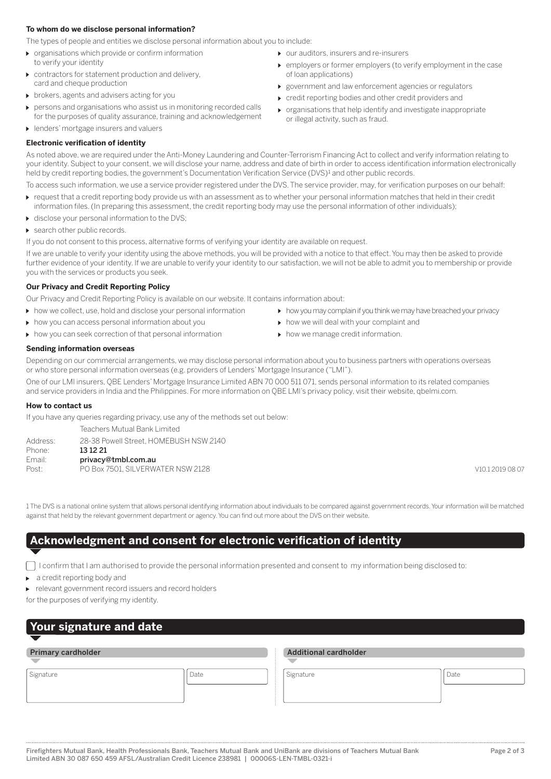## **To whom do we disclose personal information?**

The types of people and entities we disclose personal information about you to include:

- **D** organisations which provide or confirm information
- to verify your identity
- contractors for statement production and delivery, card and cheque production
- **b** brokers, agents and advisers acting for you
- persons and organisations who assist us in monitoring recorded calls for the purposes of quality assurance, training and acknowledgement
- **I** lenders' mortgage insurers and valuers

## **Electronic verification of identity**

- $\triangleright$  our auditors, insurers and re-insurers
- employers or former employers (to verify employment in the case of loan applications)
- government and law enforcement agencies or regulators
- credit reporting bodies and other credit providers and
- $\triangleright$  organisations that help identify and investigate inappropriate or illegal activity, such as fraud.

As noted above, we are required under the Anti-Money Laundering and Counter-Terrorism Financing Act to collect and verify information relating to your identity. Subject to your consent, we will disclose your name, address and date of birth in order to access identification information electronically held by credit reporting bodies, the government's Documentation Verification Service (DVS)<sup>1</sup> and other public records.

To access such information, we use a service provider registered under the DVS. The service provider, may, for verification purposes on our behalf:

- request that a credit reporting body provide us with an assessment as to whether your personal information matches that held in their credit information files. (In preparing this assessment, the credit reporting body may use the personal information of other individuals);
- $\triangleright$  disclose your personal information to the DVS:
- search other public records.

If you do not consent to this process, alternative forms of verifying your identity are available on request.

If we are unable to verify your identity using the above methods, you will be provided with a notice to that effect. You may then be asked to provide further evidence of your identity. If we are unable to verify your identity to our satisfaction, we will not be able to admit you to membership or provide you with the services or products you seek.

#### **Our Privacy and Credit Reporting Policy**

Our Privacy and Credit Reporting Policy is available on our website. It contains information about:

- how we collect, use, hold and disclose your personal information
- how you can access personal information about you
- $\triangleright$  how you can seek correction of that personal information
- how you may complain if you think we may have breached your privacy
- $\triangleright$  how we will deal with your complaint and
- $\blacktriangleright$  how we manage credit information.

## **Sending information overseas**

Depending on our commercial arrangements, we may disclose personal information about you to business partners with operations overseas or who store personal information overseas (e.g. providers of Lenders' Mortgage Insurance ("LMI").

One of our LMI insurers, QBE Lenders' Mortgage Insurance Limited ABN 70 000 511 071, sends personal information to its related companies and service providers in India and the Philippines. For more information on QBE LMI's privacy policy, visit their website, qbelmi.com.

## **How to contact us**

If you have any queries regarding privacy, use any of the methods set out below:

 Teachers Mutual Bank Limited Address: 28-38 Powell Street, HOMEBUSH NSW 2140<br>Phone: 13 12 21 13 12 21 Email: privacy@tmbl.com.au

Post: PO Box 7501, SILVERWATER NSW 2128

1 The DVS is a national online system that allows personal identifying information about individuals to be compared against government records. Your information will be matched against that held by the relevant government department or agency. You can find out more about the DVS on their website.

## **Acknowledgment and consent for electronic verification of identity**

I confirm that I am authorised to provide the personal information presented and consent to my information being disclosed to:

a credit reporting body and

relevant government record issuers and record holders

for the purposes of verifying my identity.

# **Your signature and date**

## Primary cardholder **Additional cardholder** Additional cardholder

Signature Signature (Date Signature Signature Signature Signature Signature Signature Signature Signature (Date